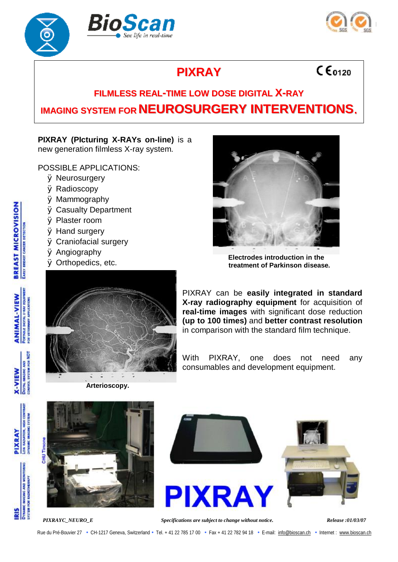



 $C\epsilon_{0120}$ 

## **PIXRAY**

## **FILMLESS REAL-TIME LOW DOSE DIGITAL X-RAY IMAGING SYSTEM FOR NEUROSURGERY INTERVENTIONS.**

## **PIXRAY (PIcturing X-RAYs on-line)** is a new generation filmless X-ray system.

POSSIBLE APPLICATIONS:

- Ø Neurosurgery
- Ø Radioscopy
- Ø Mammography
- Ø Casualty Department
- Ø Plaster room
- Ø Hand surgery
- Ø Craniofacial surgery
- Ø Angiography
- Ø Orthopedics, etc.



**Electrodes introduction in the treatment of Parkinson disease.**



**Arterioscopy.**

PIXRAY can be **easily integrated in standard X-ray radiography equipment** for acquisition of **real-time images** with significant dose reduction **(up to 100 times)** and **better contrast resolution** in comparison with the standard film technique.

With PIXRAY, one does not need any consumables and development equipment.





**HU** Timon



**POR NDT** 

**X-VIEW** 

PIXRAY